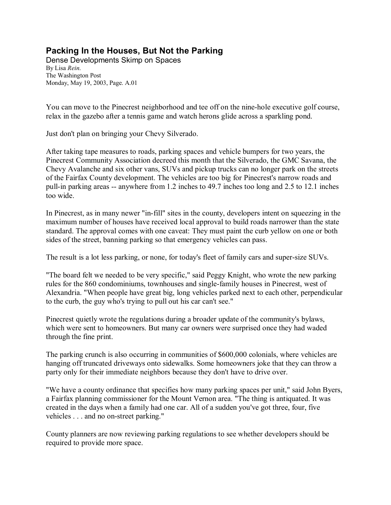## **Packing In the Houses, But Not the Parking**

Dense Developments Skimp on Spaces By Lisa *Rein*. The Washington Post Monday, May 19, 2003, Page. A.01

You can move to the Pinecrest neighborhood and tee off on the nine-hole executive golf course, relax in the gazebo after a tennis game and watch herons glide across a sparkling pond.

Just don't plan on bringing your Chevy Silverado.

After taking tape measures to roads, parking spaces and vehicle bumpers for two years, the Pinecrest Community Association decreed this month that the Silverado, the GMC Savana, the Chevy Avalanche and six other vans, SUVs and pickup trucks can no longer park on the streets of the Fairfax County development. The vehicles are too big for Pinecrest's narrow roads and pull-in parking areas -- anywhere from 1.2 inches to 49.7 inches too long and 2.5 to 12.1 inches too wide.

In Pinecrest, as in many newer "in-fill" sites in the county, developers intent on squeezing in the maximum number of houses have received local approval to build roads narrower than the state standard. The approval comes with one caveat: They must paint the curb yellow on one or both sides of the street, banning parking so that emergency vehicles can pass.

The result is a lot less parking, or none, for today's fleet of family cars and super-size SUVs.

"The board felt we needed to be very specific," said Peggy Knight, who wrote the new parking rules for the 860 condominiums, townhouses and single-family houses in Pinecrest, west of Alexandria. "When people have great big, long vehicles parked next to each other, perpendicular to the curb, the guy who's trying to pull out his car can't see."

Pinecrest quietly wrote the regulations during a broader update of the community's bylaws, which were sent to homeowners. But many car owners were surprised once they had waded through the fine print.

The parking crunch is also occurring in communities of \$600,000 colonials, where vehicles are hanging off truncated driveways onto sidewalks. Some homeowners joke that they can throw a party only for their immediate neighbors because they don't have to drive over.

"We have a county ordinance that specifies how many parking spaces per unit," said John Byers, a Fairfax planning commissioner for the Mount Vernon area. "The thing is antiquated. It was created in the days when a family had one car. All of a sudden you've got three, four, five vehicles . . . and no on-street parking."

County planners are now reviewing parking regulations to see whether developers should be required to provide more space.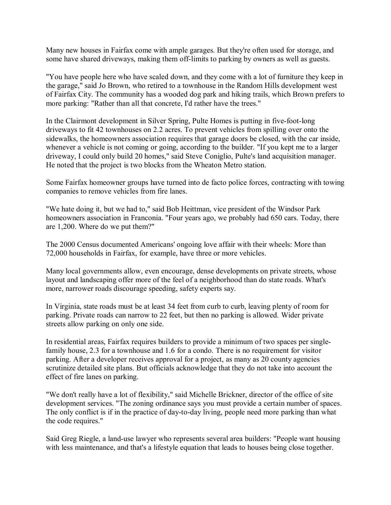Many new houses in Fairfax come with ample garages. But they're often used for storage, and some have shared driveways, making them off-limits to parking by owners as well as guests.

"You have people here who have scaled down, and they come with a lot of furniture they keep in the garage," said Jo Brown, who retired to a townhouse in the Random Hills development west of Fairfax City. The community has a wooded dog park and hiking trails, which Brown prefers to more parking: "Rather than all that concrete, I'd rather have the trees."

In the Clairmont development in Silver Spring, Pulte Homes is putting in five-foot-long driveways to fit 42 townhouses on 2.2 acres. To prevent vehicles from spilling over onto the sidewalks, the homeowners association requires that garage doors be closed, with the car inside, whenever a vehicle is not coming or going, according to the builder. "If you kept me to a larger driveway, I could only build 20 homes," said Steve Coniglio, Pulte's land acquisition manager. He noted that the project is two blocks from the Wheaton Metro station.

Some Fairfax homeowner groups have turned into de facto police forces, contracting with towing companies to remove vehicles from fire lanes.

"We hate doing it, but we had to," said Bob Heittman, vice president of the Windsor Park homeowners association in Franconia. "Four years ago, we probably had 650 cars. Today, there are 1,200. Where do we put them?"

The 2000 Census documented Americans' ongoing love affair with their wheels: More than 72,000 households in Fairfax, for example, have three or more vehicles.

Many local governments allow, even encourage, dense developments on private streets, whose layout and landscaping offer more of the feel of a neighborhood than do state roads. What's more, narrower roads discourage speeding, safety experts say.

In Virginia, state roads must be at least 34 feet from curb to curb, leaving plenty of room for parking. Private roads can narrow to 22 feet, but then no parking is allowed. Wider private streets allow parking on only one side.

In residential areas, Fairfax requires builders to provide a minimum of two spaces per singlefamily house, 2.3 for a townhouse and 1.6 for a condo. There is no requirement for visitor parking. After a developer receives approval for a project, as many as 20 county agencies scrutinize detailed site plans. But officials acknowledge that they do not take into account the effect of fire lanes on parking.

"We don't really have a lot of flexibility," said Michelle Brickner, director of the office of site development services. "The zoning ordinance says you must provide a certain number of spaces. The only conflict is if in the practice of day-to-day living, people need more parking than what the code requires."

Said Greg Riegle, a land-use lawyer who represents several area builders: "People want housing with less maintenance, and that's a lifestyle equation that leads to houses being close together.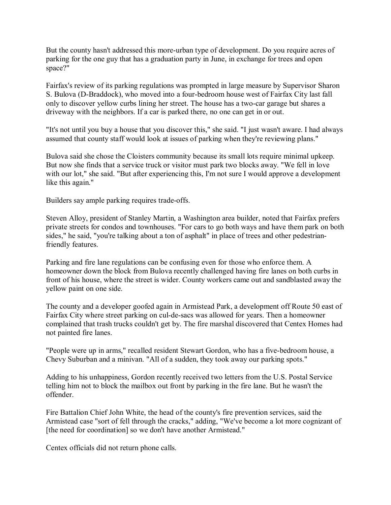But the county hasn't addressed this more-urban type of development. Do you require acres of parking for the one guy that has a graduation party in June, in exchange for trees and open space?"

Fairfax's review of its parking regulations was prompted in large measure by Supervisor Sharon S. Bulova (D-Braddock), who moved into a four-bedroom house west of Fairfax City last fall only to discover yellow curbs lining her street. The house has a two-car garage but shares a driveway with the neighbors. If a car is parked there, no one can get in or out.

"It's not until you buy a house that you discover this," she said. "I just wasn't aware. I had always assumed that county staff would look at issues of parking when they're reviewing plans."

Bulova said she chose the Cloisters community because its small lots require minimal upkeep. But now she finds that a service truck or visitor must park two blocks away. "We fell in love with our lot," she said. "But after experiencing this, I'm not sure I would approve a development like this again."

Builders say ample parking requires trade-offs.

Steven Alloy, president of Stanley Martin, a Washington area builder, noted that Fairfax prefers private streets for condos and townhouses. "For cars to go both ways and have them park on both sides," he said, "you're talking about a ton of asphalt" in place of trees and other pedestrianfriendly features.

Parking and fire lane regulations can be confusing even for those who enforce them. A homeowner down the block from Bulova recently challenged having fire lanes on both curbs in front of his house, where the street is wider. County workers came out and sandblasted away the yellow paint on one side.

The county and a developer goofed again in Armistead Park, a development off Route 50 east of Fairfax City where street parking on cul-de-sacs was allowed for years. Then a homeowner complained that trash trucks couldn't get by. The fire marshal discovered that Centex Homes had not painted fire lanes.

"People were up in arms," recalled resident Stewart Gordon, who has a five-bedroom house, a Chevy Suburban and a minivan. "All of a sudden, they took away our parking spots."

Adding to his unhappiness, Gordon recently received two letters from the U.S. Postal Service telling him not to block the mailbox out front by parking in the fire lane. But he wasn't the offender.

Fire Battalion Chief John White, the head of the county's fire prevention services, said the Armistead case "sort of fell through the cracks," adding, "We've become a lot more cognizant of [the need for coordination] so we don't have another Armistead."

Centex officials did not return phone calls.